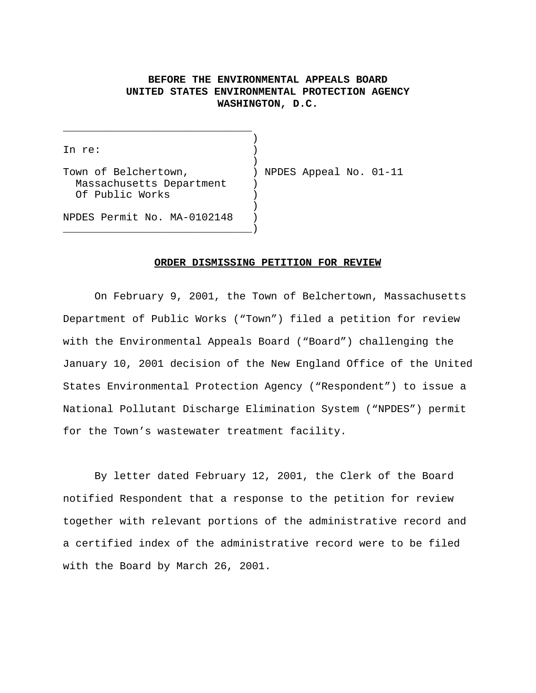## **BEFORE THE ENVIRONMENTAL APPEALS BOARD UNITED STATES ENVIRONMENTAL PROTECTION AGENCY WASHINGTON, D.C.**

) In re: ) ) Town of Belchertown,  $\blacksquare$  ) NPDES Appeal No. 01-11 Massachusetts Department ) Of Public Works ) ) NPDES Permit No. MA-0102148 ) \_\_\_\_\_\_\_\_\_\_\_\_\_\_\_\_\_\_\_\_\_\_\_\_\_\_\_\_\_\_)

\_\_\_\_\_\_\_\_\_\_\_\_\_\_\_\_\_\_\_\_\_\_\_\_\_\_\_\_\_\_

## **ORDER DISMISSING PETITION FOR REVIEW**

On February 9, 2001, the Town of Belchertown, Massachusetts Department of Public Works ("Town") filed a petition for review with the Environmental Appeals Board ("Board") challenging the January 10, 2001 decision of the New England Office of the United States Environmental Protection Agency ("Respondent") to issue a National Pollutant Discharge Elimination System ("NPDES") permit for the Town's wastewater treatment facility.

By letter dated February 12, 2001, the Clerk of the Board notified Respondent that a response to the petition for review together with relevant portions of the administrative record and a certified index of the administrative record were to be filed with the Board by March 26, 2001.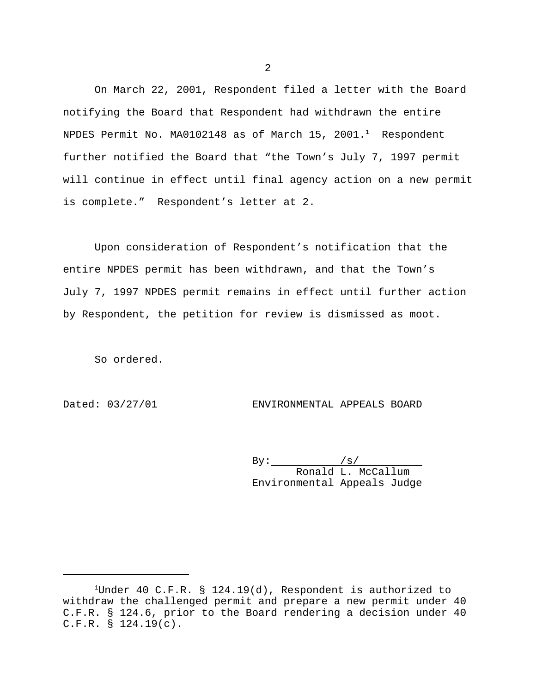On March 22, 2001, Respondent filed a letter with the Board notifying the Board that Respondent had withdrawn the entire NPDES Permit No. MA0102148 as of March 15, 2001. $^1$  Respondent further notified the Board that "the Town's July 7, 1997 permit will continue in effect until final agency action on a new permit is complete." Respondent's letter at 2.

Upon consideration of Respondent's notification that the entire NPDES permit has been withdrawn, and that the Town's July 7, 1997 NPDES permit remains in effect until further action by Respondent, the petition for review is dismissed as moot.

So ordered.

Dated: 03/27/01 ENVIRONMENTAL APPEALS BOARD

 $By:$   $/s/$  Ronald L. McCallum Environmental Appeals Judge

2

<sup>&</sup>lt;sup>1</sup>Under 40 C.F.R. § 124.19(d), Respondent is authorized to withdraw the challenged permit and prepare a new permit under 40 C.F.R. § 124.6, prior to the Board rendering a decision under 40 C.F.R. § 124.19(c).